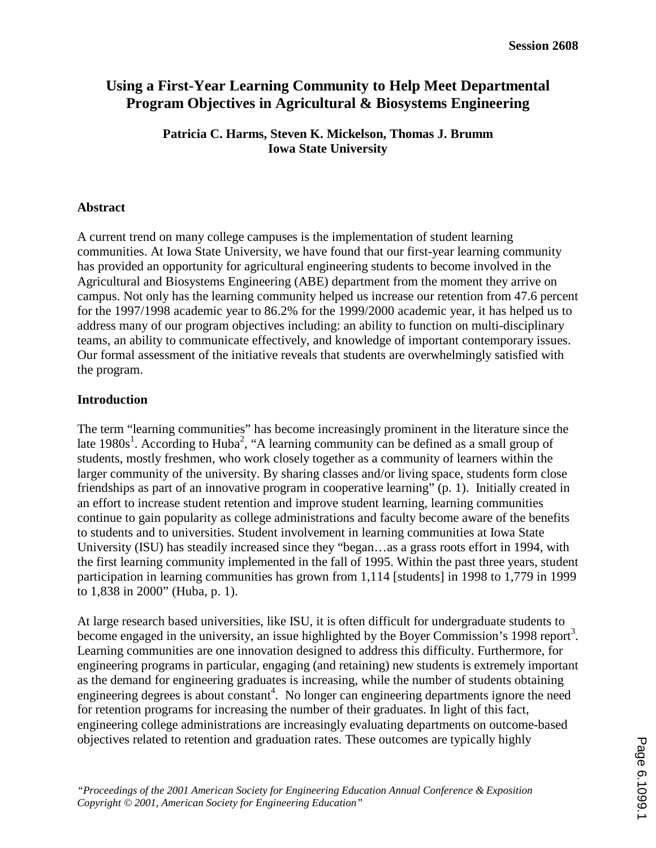# **Using a First-Year Learning Community to Help Meet Departmental Program Objectives in Agricultural & Biosystems Engineering**

**Patricia C. Harms, Steven K. Mickelson, Thomas J. Brumm Iowa State University**

## **Abstract**

A current trend on many college campuses is the implementation of student learning communities. At Iowa State University, we have found that our first-year learning community has provided an opportunity for agricultural engineering students to become involved in the Agricultural and Biosystems Engineering (ABE) department from the moment they arrive on campus. Not only has the learning community helped us increase our retention from 47.6 percent for the 1997/1998 academic year to 86.2% for the 1999/2000 academic year, it has helped us to address many of our program objectives including: an ability to function on multi-disciplinary teams, an ability to communicate effectively, and knowledge of important contemporary issues. Our formal assessment of the initiative reveals that students are overwhelmingly satisfied with the program.

# **Introduction**

The term "learning communities" has become increasingly prominent in the literature since the late  $1980s<sup>1</sup>$ . According to Huba<sup>2</sup>, "A learning community can be defined as a small group of students, mostly freshmen, who work closely together as a community of learners within the larger community of the university. By sharing classes and/or living space, students form close friendships as part of an innovative program in cooperative learning" (p. 1). Initially created in an effort to increase student retention and improve student learning, learning communities continue to gain popularity as college administrations and faculty become aware of the benefits to students and to universities. Student involvement in learning communities at Iowa State University (ISU) has steadily increased since they "began…as a grass roots effort in 1994, with the first learning community implemented in the fall of 1995. Within the past three years, student participation in learning communities has grown from 1,114 [students] in 1998 to 1,779 in 1999 to 1,838 in 2000" (Huba, p. 1).

At large research based universities, like ISU, it is often difficult for undergraduate students to become engaged in the university, an issue highlighted by the Boyer Commission's 1998 report<sup>3</sup>. Learning communities are one innovation designed to address this difficulty. Furthermore, for engineering programs in particular, engaging (and retaining) new students is extremely important as the demand for engineering graduates is increasing, while the number of students obtaining engineering degrees is about constant<sup>4</sup>. No longer can engineering departments ignore the need for retention programs for increasing the number of their graduates. In light of this fact, engineering college administrations are increasingly evaluating departments on outcome-based objectives related to retention and graduation rates. These outcomes are typically highly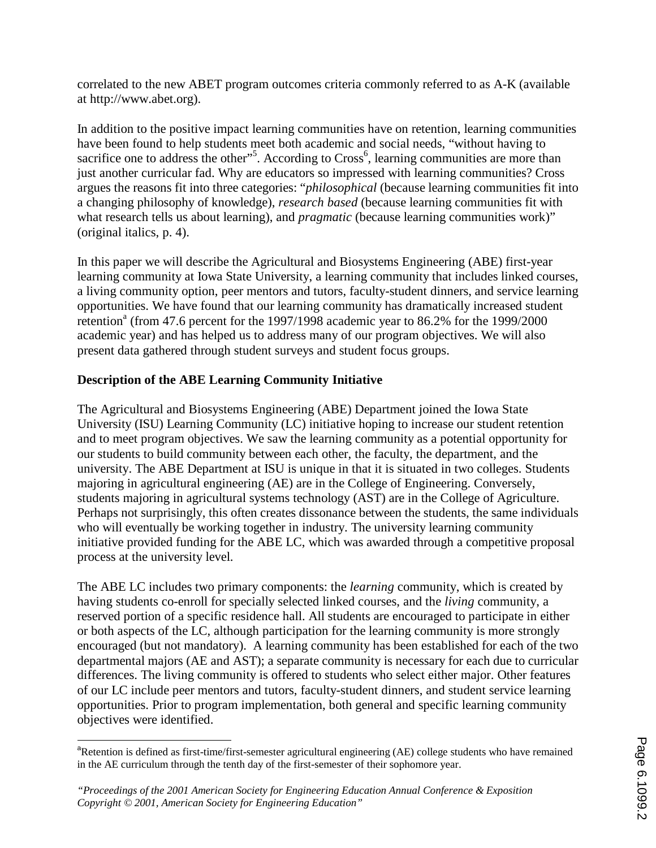correlated to the new ABET program outcomes criteria commonly referred to as A-K (available at http://www.abet.org).

In addition to the positive impact learning communities have on retention, learning communities have been found to help students meet both academic and social needs, "without having to sacrifice one to address the other"<sup>5</sup>. According to Cross<sup>6</sup>, learning communities are more than just another curricular fad. Why are educators so impressed with learning communities? Cross argues the reasons fit into three categories: "*philosophical* (because learning communities fit into a changing philosophy of knowledge), *research based* (because learning communities fit with what research tells us about learning), and *pragmatic* (because learning communities work)" (original italics, p. 4).

In this paper we will describe the Agricultural and Biosystems Engineering (ABE) first-year learning community at Iowa State University, a learning community that includes linked courses, a living community option, peer mentors and tutors, faculty-student dinners, and service learning opportunities. We have found that our learning community has dramatically increased student retention<sup>a</sup> (from 47.6 percent for the 1997/1998 academic year to 86.2% for the 1999/2000 academic year) and has helped us to address many of our program objectives. We will also present data gathered through student surveys and student focus groups.

# **Description of the ABE Learning Community Initiative**

The Agricultural and Biosystems Engineering (ABE) Department joined the Iowa State University (ISU) Learning Community (LC) initiative hoping to increase our student retention and to meet program objectives. We saw the learning community as a potential opportunity for our students to build community between each other, the faculty, the department, and the university. The ABE Department at ISU is unique in that it is situated in two colleges. Students majoring in agricultural engineering (AE) are in the College of Engineering. Conversely, students majoring in agricultural systems technology (AST) are in the College of Agriculture. Perhaps not surprisingly, this often creates dissonance between the students, the same individuals who will eventually be working together in industry. The university learning community initiative provided funding for the ABE LC, which was awarded through a competitive proposal process at the university level.

The ABE LC includes two primary components: the *learning* community, which is created by having students co-enroll for specially selected linked courses, and the *living* community, a reserved portion of a specific residence hall. All students are encouraged to participate in either or both aspects of the LC, although participation for the learning community is more strongly encouraged (but not mandatory). A learning community has been established for each of the two departmental majors (AE and AST); a separate community is necessary for each due to curricular differences. The living community is offered to students who select either major. Other features of our LC include peer mentors and tutors, faculty-student dinners, and student service learning opportunities. Prior to program implementation, both general and specific learning community objectives were identified.

 $\overline{a}$ <sup>a</sup>Retention is defined as first-time/first-semester agricultural engineering (AE) college students who have remained in the AE curriculum through the tenth day of the first-semester of their sophomore year.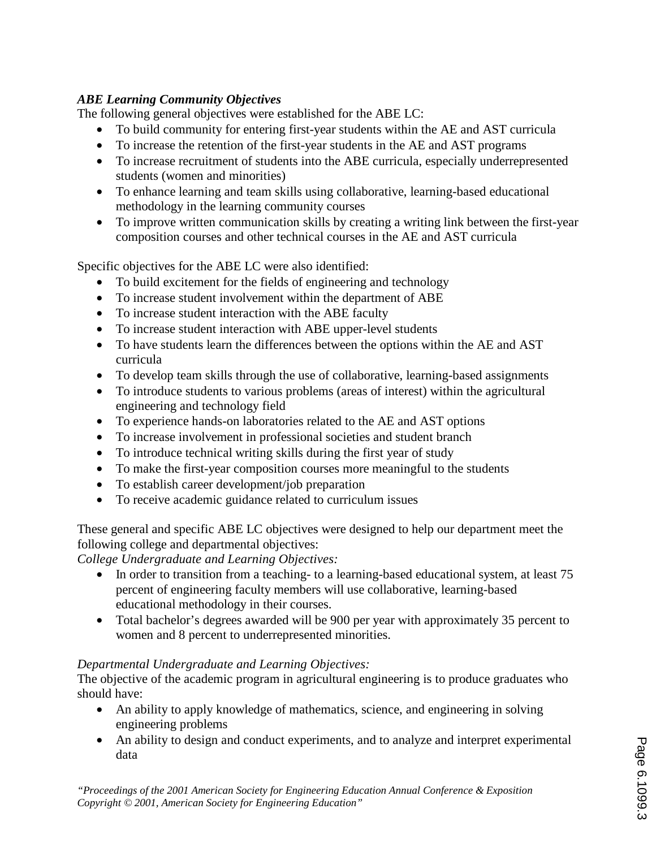# *ABE Learning Community Objectives*

The following general objectives were established for the ABE LC:

- To build community for entering first-year students within the AE and AST curricula
- To increase the retention of the first-year students in the AE and AST programs
- To increase recruitment of students into the ABE curricula, especially underrepresented students (women and minorities)
- To enhance learning and team skills using collaborative, learning-based educational methodology in the learning community courses
- To improve written communication skills by creating a writing link between the first-year composition courses and other technical courses in the AE and AST curricula

Specific objectives for the ABE LC were also identified:

- To build excitement for the fields of engineering and technology
- To increase student involvement within the department of ABE
- To increase student interaction with the ABE faculty
- To increase student interaction with ABE upper-level students
- To have students learn the differences between the options within the AE and AST curricula
- To develop team skills through the use of collaborative, learning-based assignments
- To introduce students to various problems (areas of interest) within the agricultural engineering and technology field
- To experience hands-on laboratories related to the AE and AST options
- To increase involvement in professional societies and student branch
- To introduce technical writing skills during the first year of study
- To make the first-year composition courses more meaningful to the students
- To establish career development/job preparation
- To receive academic guidance related to curriculum issues

These general and specific ABE LC objectives were designed to help our department meet the following college and departmental objectives:

*College Undergraduate and Learning Objectives:* 

- In order to transition from a teaching- to a learning-based educational system, at least 75 percent of engineering faculty members will use collaborative, learning-based educational methodology in their courses.
- Total bachelor's degrees awarded will be 900 per year with approximately 35 percent to women and 8 percent to underrepresented minorities.

# *Departmental Undergraduate and Learning Objectives:*

The objective of the academic program in agricultural engineering is to produce graduates who should have:

- An ability to apply knowledge of mathematics, science, and engineering in solving engineering problems
- An ability to design and conduct experiments, and to analyze and interpret experimental data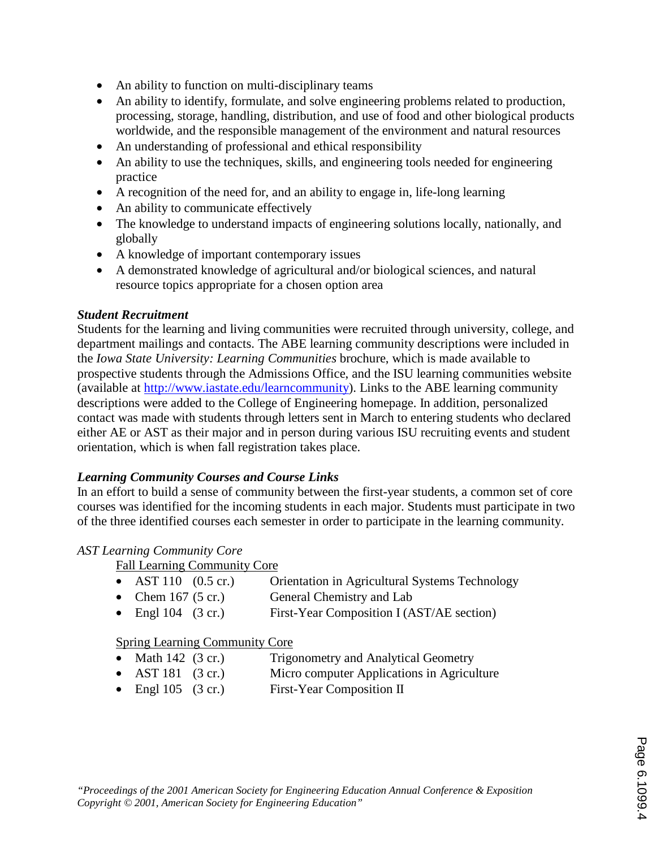- An ability to function on multi-disciplinary teams
- An ability to identify, formulate, and solve engineering problems related to production, processing, storage, handling, distribution, and use of food and other biological products worldwide, and the responsible management of the environment and natural resources
- An understanding of professional and ethical responsibility
- An ability to use the techniques, skills, and engineering tools needed for engineering practice
- A recognition of the need for, and an ability to engage in, life-long learning
- An ability to communicate effectively
- The knowledge to understand impacts of engineering solutions locally, nationally, and globally
- A knowledge of important contemporary issues
- A demonstrated knowledge of agricultural and/or biological sciences, and natural resource topics appropriate for a chosen option area

# *Student Recruitment*

Students for the learning and living communities were recruited through university, college, and department mailings and contacts. The ABE learning community descriptions were included in the *Iowa State University: Learning Communities* brochure, which is made available to prospective students through the Admissions Office, and the ISU learning communities website (available at http://www.iastate.edu/learncommunity). Links to the ABE learning community descriptions were added to the College of Engineering homepage. In addition, personalized contact was made with students through letters sent in March to entering students who declared either AE or AST as their major and in person during various ISU recruiting events and student orientation, which is when fall registration takes place.

# *Learning Community Courses and Course Links*

In an effort to build a sense of community between the first-year students, a common set of core courses was identified for the incoming students in each major. Students must participate in two of the three identified courses each semester in order to participate in the learning community.

# *AST Learning Community Core*

- Fall Learning Community Core
- AST 110 (0.5 cr.) Orientation in Agricultural Systems Technology<br>• Chem 167 (5 cr.) General Chemistry and Lab
	- General Chemistry and Lab
- Engl 104 (3 cr.) First-Year Composition I (AST/AE section)

# Spring Learning Community Core

- Math 142 (3 cr.) Trigonometry and Analytical Geometry
- AST 181 (3 cr.) Micro computer Applications in Agriculture
- Engl 105 (3 cr.) First-Year Composition II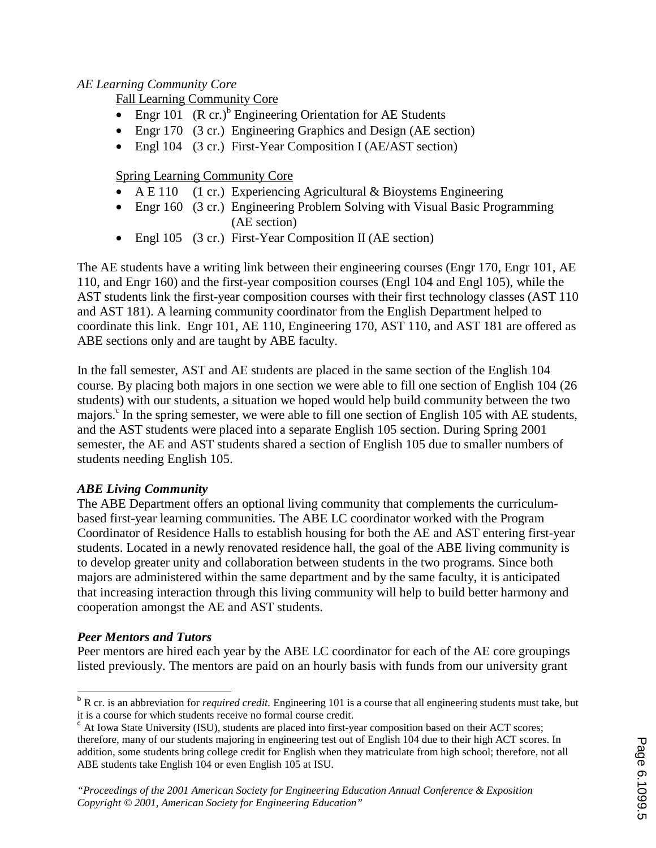# *AE Learning Community Core*

Fall Learning Community Core

- Engr 101  $(R \text{ cr.})^b$  Engineering Orientation for AE Students
- Engr 170 (3 cr.) Engineering Graphics and Design (AE section)
- Engl 104 (3 cr.) First-Year Composition I (AE/AST section)

# Spring Learning Community Core

- A E 110 (1 cr.) Experiencing Agricultural & Bioystems Engineering
- Engr 160 (3 cr.) Engineering Problem Solving with Visual Basic Programming (AE section)
- Engl 105 (3 cr.) First-Year Composition II (AE section)

The AE students have a writing link between their engineering courses (Engr 170, Engr 101, AE 110, and Engr 160) and the first-year composition courses (Engl 104 and Engl 105), while the AST students link the first-year composition courses with their first technology classes (AST 110 and AST 181). A learning community coordinator from the English Department helped to coordinate this link. Engr 101, AE 110, Engineering 170, AST 110, and AST 181 are offered as ABE sections only and are taught by ABE faculty.

In the fall semester, AST and AE students are placed in the same section of the English 104 course. By placing both majors in one section we were able to fill one section of English 104 (26 students) with our students, a situation we hoped would help build community between the two majors.<sup>c</sup> In the spring semester, we were able to fill one section of English 105 with AE students, and the AST students were placed into a separate English 105 section. During Spring 2001 semester, the AE and AST students shared a section of English 105 due to smaller numbers of students needing English 105.

# *ABE Living Community*

The ABE Department offers an optional living community that complements the curriculumbased first-year learning communities. The ABE LC coordinator worked with the Program Coordinator of Residence Halls to establish housing for both the AE and AST entering first-year students. Located in a newly renovated residence hall, the goal of the ABE living community is to develop greater unity and collaboration between students in the two programs. Since both majors are administered within the same department and by the same faculty, it is anticipated that increasing interaction through this living community will help to build better harmony and cooperation amongst the AE and AST students.

# *Peer Mentors and Tutors*

Peer mentors are hired each year by the ABE LC coordinator for each of the AE core groupings listed previously. The mentors are paid on an hourly basis with funds from our university grant

 $\overline{a}$ <sup>b</sup> R cr. is an abbreviation for *required credit.* Engineering 101 is a course that all engineering students must take, but it is a course for which students receive no formal course credit.

 $\degree$  At Iowa State University (ISU), students are placed into first-year composition based on their ACT scores; therefore, many of our students majoring in engineering test out of English 104 due to their high ACT scores. In addition, some students bring college credit for English when they matriculate from high school; therefore, not all ABE students take English 104 or even English 105 at ISU.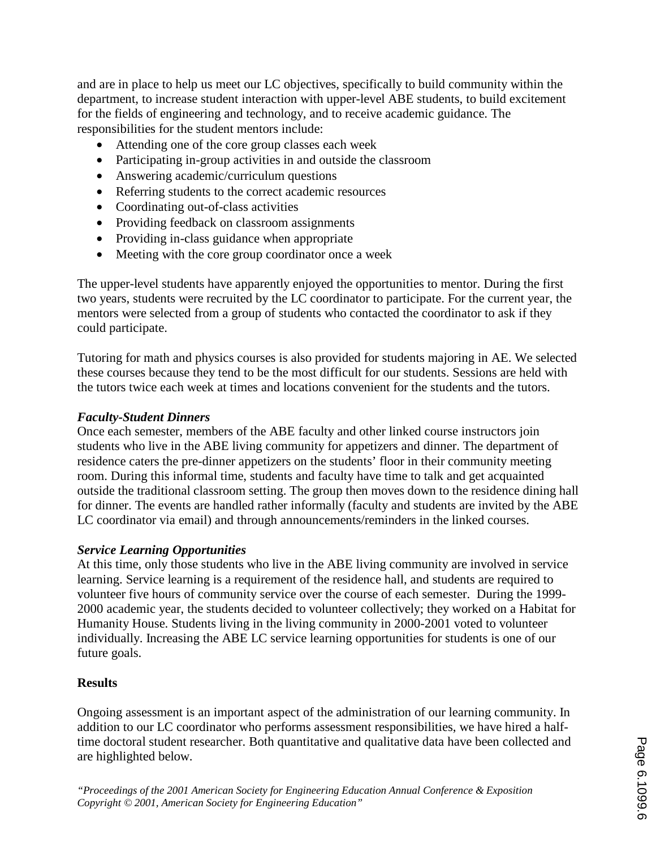and are in place to help us meet our LC objectives, specifically to build community within the department, to increase student interaction with upper-level ABE students, to build excitement for the fields of engineering and technology, and to receive academic guidance. The responsibilities for the student mentors include:

- Attending one of the core group classes each week
- Participating in-group activities in and outside the classroom
- Answering academic/curriculum questions
- Referring students to the correct academic resources
- Coordinating out-of-class activities
- Providing feedback on classroom assignments
- Providing in-class guidance when appropriate
- Meeting with the core group coordinator once a week

The upper-level students have apparently enjoyed the opportunities to mentor. During the first two years, students were recruited by the LC coordinator to participate. For the current year, the mentors were selected from a group of students who contacted the coordinator to ask if they could participate.

Tutoring for math and physics courses is also provided for students majoring in AE. We selected these courses because they tend to be the most difficult for our students. Sessions are held with the tutors twice each week at times and locations convenient for the students and the tutors.

### *Faculty-Student Dinners*

Once each semester, members of the ABE faculty and other linked course instructors join students who live in the ABE living community for appetizers and dinner. The department of residence caters the pre-dinner appetizers on the students' floor in their community meeting room. During this informal time, students and faculty have time to talk and get acquainted outside the traditional classroom setting. The group then moves down to the residence dining hall for dinner. The events are handled rather informally (faculty and students are invited by the ABE LC coordinator via email) and through announcements/reminders in the linked courses.

### *Service Learning Opportunities*

At this time, only those students who live in the ABE living community are involved in service learning. Service learning is a requirement of the residence hall, and students are required to volunteer five hours of community service over the course of each semester. During the 1999- 2000 academic year, the students decided to volunteer collectively; they worked on a Habitat for Humanity House. Students living in the living community in 2000-2001 voted to volunteer individually. Increasing the ABE LC service learning opportunities for students is one of our future goals.

### **Results**

Ongoing assessment is an important aspect of the administration of our learning community. In addition to our LC coordinator who performs assessment responsibilities, we have hired a halftime doctoral student researcher. Both quantitative and qualitative data have been collected and are highlighted below.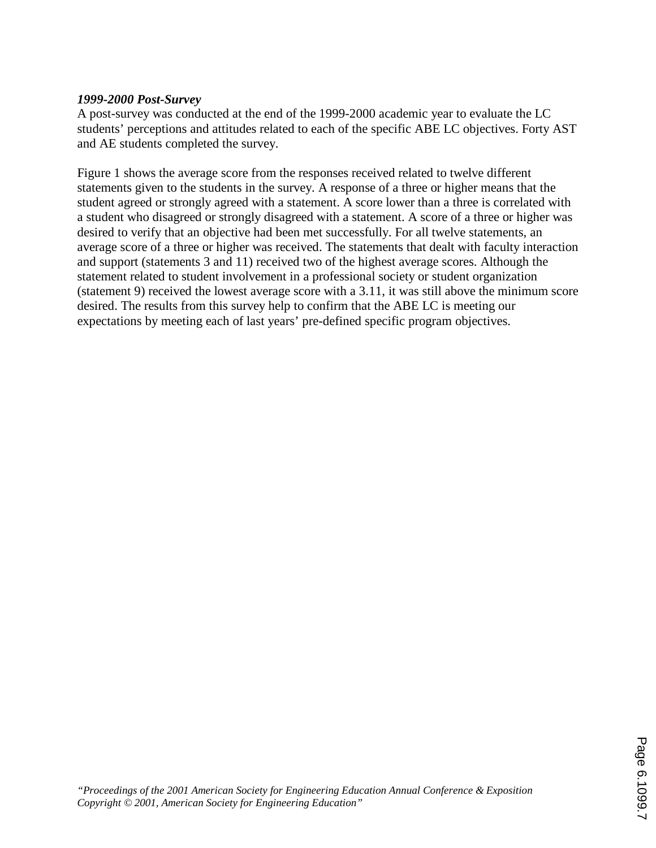## *1999-2000 Post-Survey*

A post-survey was conducted at the end of the 1999-2000 academic year to evaluate the LC students' perceptions and attitudes related to each of the specific ABE LC objectives. Forty AST and AE students completed the survey.

Figure 1 shows the average score from the responses received related to twelve different statements given to the students in the survey. A response of a three or higher means that the student agreed or strongly agreed with a statement. A score lower than a three is correlated with a student who disagreed or strongly disagreed with a statement. A score of a three or higher was desired to verify that an objective had been met successfully. For all twelve statements, an average score of a three or higher was received. The statements that dealt with faculty interaction and support (statements 3 and 11) received two of the highest average scores. Although the statement related to student involvement in a professional society or student organization (statement 9) received the lowest average score with a 3.11, it was still above the minimum score desired. The results from this survey help to confirm that the ABE LC is meeting our expectations by meeting each of last years' pre-defined specific program objectives.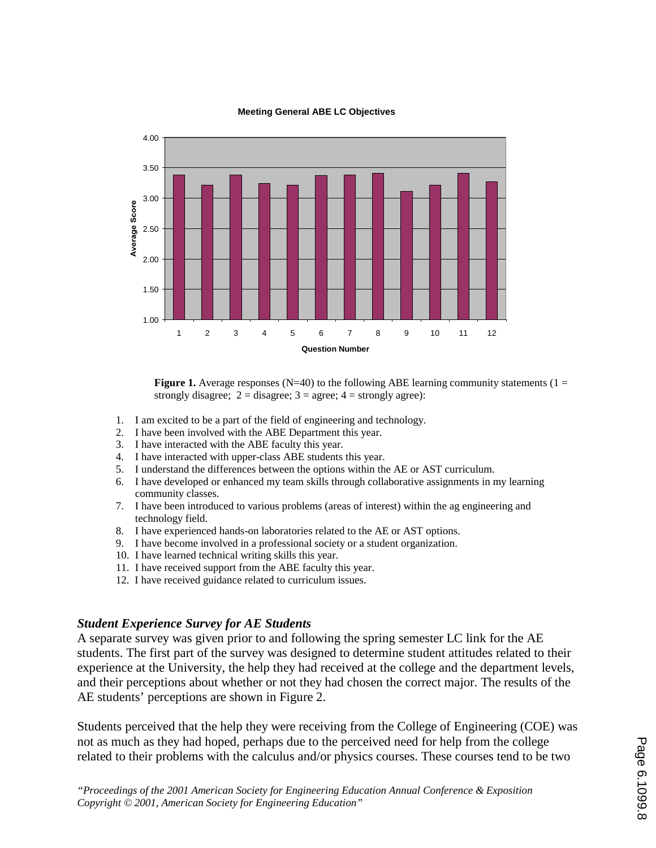

#### **Meeting General ABE LC Objectives**

**Figure 1.** Average responses ( $N=40$ ) to the following ABE learning community statements ( $1 =$ strongly disagree;  $2 =$  disagree;  $3 =$  agree;  $4 =$  strongly agree):

- 1. I am excited to be a part of the field of engineering and technology.
- 2. I have been involved with the ABE Department this year.
- 3. I have interacted with the ABE faculty this year.
- 4. I have interacted with upper-class ABE students this year.
- 5. I understand the differences between the options within the AE or AST curriculum.
- 6. I have developed or enhanced my team skills through collaborative assignments in my learning community classes.
- 7. I have been introduced to various problems (areas of interest) within the ag engineering and technology field.
- 8. I have experienced hands-on laboratories related to the AE or AST options.
- 9. I have become involved in a professional society or a student organization.
- 10. I have learned technical writing skills this year.
- 11. I have received support from the ABE faculty this year.
- 12. I have received guidance related to curriculum issues.

### *Student Experience Survey for AE Students*

A separate survey was given prior to and following the spring semester LC link for the AE students. The first part of the survey was designed to determine student attitudes related to their experience at the University, the help they had received at the college and the department levels, and their perceptions about whether or not they had chosen the correct major. The results of the AE students' perceptions are shown in Figure 2.

Students perceived that the help they were receiving from the College of Engineering (COE) was not as much as they had hoped, perhaps due to the perceived need for help from the college related to their problems with the calculus and/or physics courses. These courses tend to be two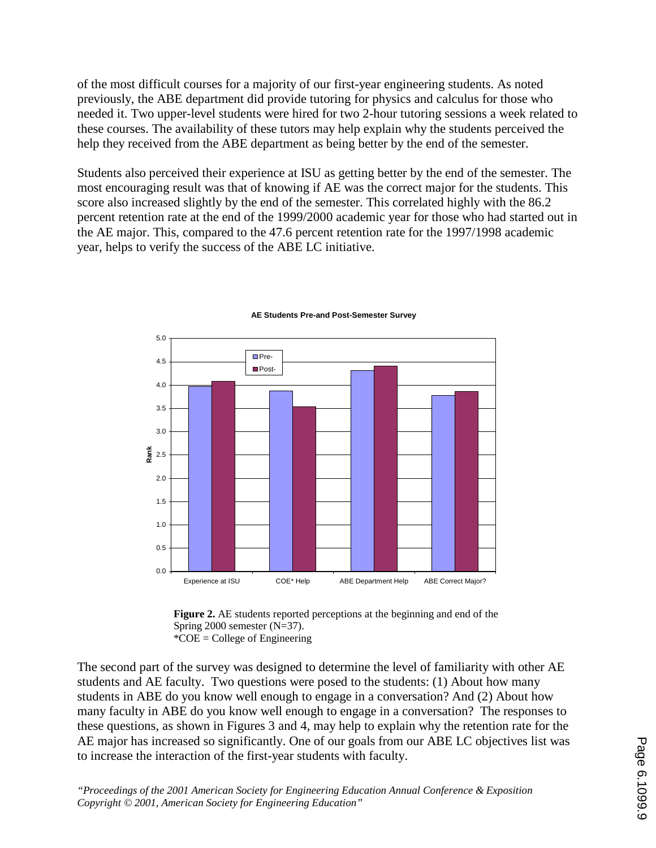of the most difficult courses for a majority of our first-year engineering students. As noted previously, the ABE department did provide tutoring for physics and calculus for those who needed it. Two upper-level students were hired for two 2-hour tutoring sessions a week related to these courses. The availability of these tutors may help explain why the students perceived the help they received from the ABE department as being better by the end of the semester.

Students also perceived their experience at ISU as getting better by the end of the semester. The most encouraging result was that of knowing if AE was the correct major for the students. This score also increased slightly by the end of the semester. This correlated highly with the 86.2 percent retention rate at the end of the 1999/2000 academic year for those who had started out in the AE major. This, compared to the 47.6 percent retention rate for the 1997/1998 academic year, helps to verify the success of the ABE LC initiative.



#### **AE Students Pre-and Post-Semester Survey**



The second part of the survey was designed to determine the level of familiarity with other AE students and AE faculty. Two questions were posed to the students: (1) About how many students in ABE do you know well enough to engage in a conversation? And (2) About how many faculty in ABE do you know well enough to engage in a conversation? The responses to these questions, as shown in Figures 3 and 4, may help to explain why the retention rate for the AE major has increased so significantly. One of our goals from our ABE LC objectives list was to increase the interaction of the first-year students with faculty.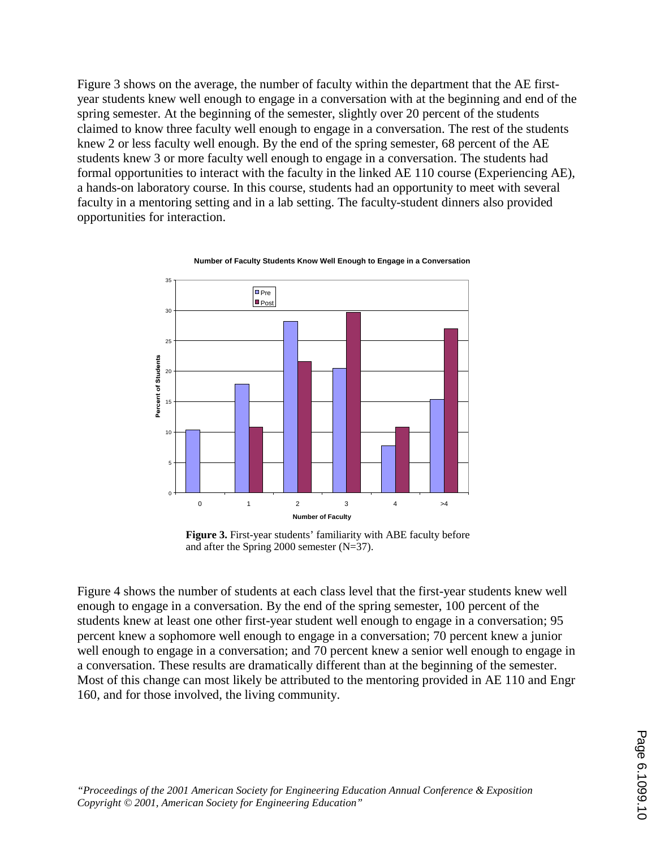Figure 3 shows on the average, the number of faculty within the department that the AE firstyear students knew well enough to engage in a conversation with at the beginning and end of the spring semester. At the beginning of the semester, slightly over 20 percent of the students claimed to know three faculty well enough to engage in a conversation. The rest of the students knew 2 or less faculty well enough. By the end of the spring semester, 68 percent of the AE students knew 3 or more faculty well enough to engage in a conversation. The students had formal opportunities to interact with the faculty in the linked AE 110 course (Experiencing AE), a hands-on laboratory course. In this course, students had an opportunity to meet with several faculty in a mentoring setting and in a lab setting. The faculty-student dinners also provided opportunities for interaction.



**Number of Faculty Students Know Well Enough to Engage in a Conversation** 

**Figure 3.** First-year students' familiarity with ABE faculty before and after the Spring 2000 semester (N=37).

Figure 4 shows the number of students at each class level that the first-year students knew well enough to engage in a conversation. By the end of the spring semester, 100 percent of the students knew at least one other first-year student well enough to engage in a conversation; 95 percent knew a sophomore well enough to engage in a conversation; 70 percent knew a junior well enough to engage in a conversation; and 70 percent knew a senior well enough to engage in a conversation. These results are dramatically different than at the beginning of the semester. Most of this change can most likely be attributed to the mentoring provided in AE 110 and Engr 160, and for those involved, the living community.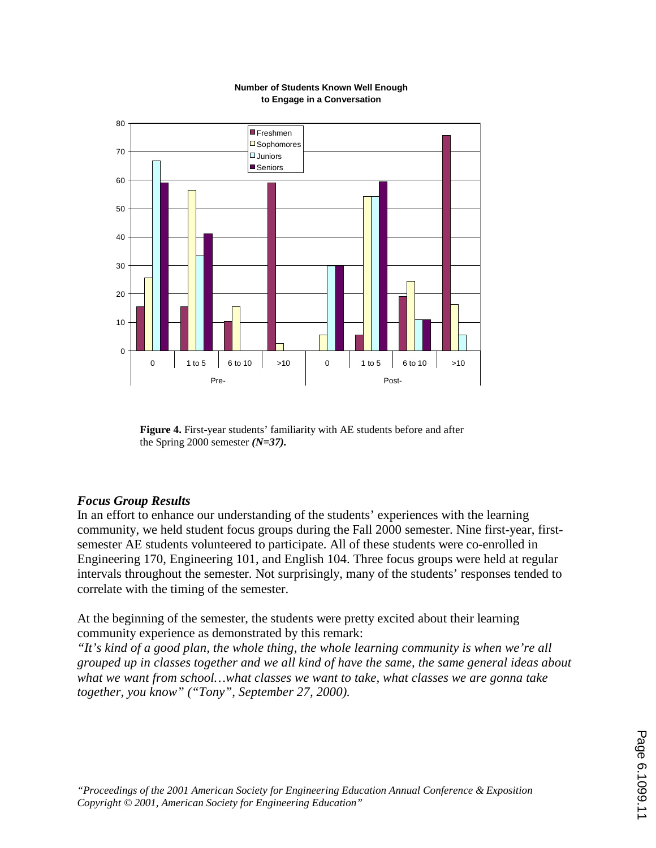

#### **Number of Students Known Well Enough to Engage in a Conversation**

**Figure 4.** First-year students' familiarity with AE students before and after the Spring 2000 semester *(N=37).*

# *Focus Group Results*

In an effort to enhance our understanding of the students' experiences with the learning community, we held student focus groups during the Fall 2000 semester. Nine first-year, firstsemester AE students volunteered to participate. All of these students were co-enrolled in Engineering 170, Engineering 101, and English 104. Three focus groups were held at regular intervals throughout the semester. Not surprisingly, many of the students' responses tended to correlate with the timing of the semester.

At the beginning of the semester, the students were pretty excited about their learning community experience as demonstrated by this remark:

*"It's kind of a good plan, the whole thing, the whole learning community is when we're all grouped up in classes together and we all kind of have the same, the same general ideas about what we want from school…what classes we want to take, what classes we are gonna take together, you know" ("Tony", September 27, 2000).*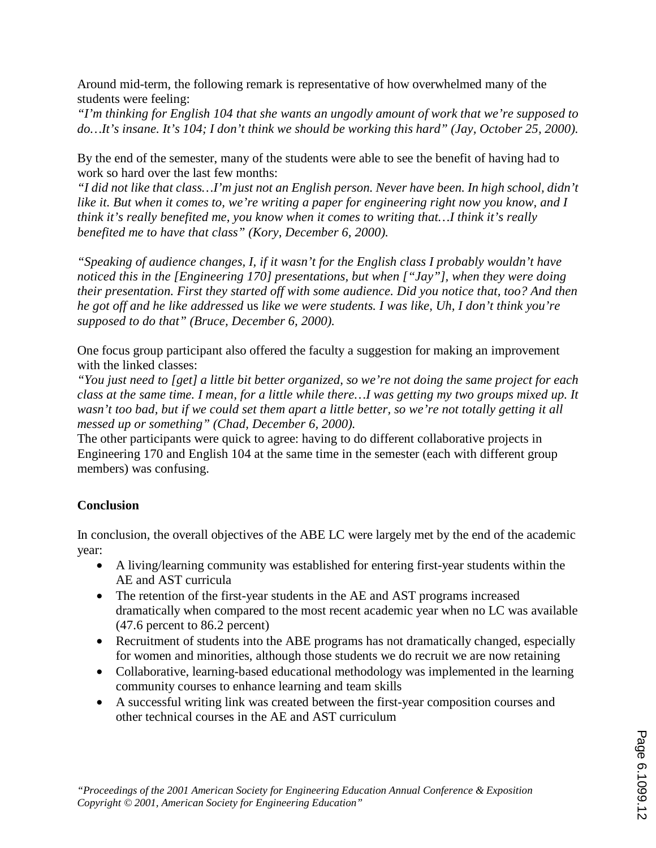Around mid-term, the following remark is representative of how overwhelmed many of the students were feeling:

*"I'm thinking for English 104 that she wants an ungodly amount of work that we're supposed to do…It's insane. It's 104; I don't think we should be working this hard" (Jay, October 25, 2000).* 

By the end of the semester, many of the students were able to see the benefit of having had to work so hard over the last few months:

*"I did not like that class…I'm just not an English person. Never have been. In high school, didn't like it. But when it comes to, we're writing a paper for engineering right now you know, and I think it's really benefited me, you know when it comes to writing that…I think it's really benefited me to have that class" (Kory, December 6, 2000).* 

*"Speaking of audience changes, I, if it wasn't for the English class I probably wouldn't have noticed this in the [Engineering 170] presentations, but when ["Jay"], when they were doing their presentation. First they started off with some audience. Did you notice that, too? And then he got off and he like addressed* us *like we were students. I was like, Uh, I don't think you're supposed to do that" (Bruce, December 6, 2000).* 

One focus group participant also offered the faculty a suggestion for making an improvement with the linked classes:

*"You just need to [get] a little bit better organized, so we're not doing the same project for each class at the same time. I mean, for a little while there…I was getting my two groups mixed up. It wasn't too bad, but if we could set them apart a little better, so we're not totally getting it all messed up or something" (Chad, December 6, 2000).* 

The other participants were quick to agree: having to do different collaborative projects in Engineering 170 and English 104 at the same time in the semester (each with different group members) was confusing.

# **Conclusion**

In conclusion, the overall objectives of the ABE LC were largely met by the end of the academic year:

- A living/learning community was established for entering first-year students within the AE and AST curricula
- The retention of the first-year students in the AE and AST programs increased dramatically when compared to the most recent academic year when no LC was available (47.6 percent to 86.2 percent)
- Recruitment of students into the ABE programs has not dramatically changed, especially for women and minorities, although those students we do recruit we are now retaining
- Collaborative, learning-based educational methodology was implemented in the learning community courses to enhance learning and team skills
- A successful writing link was created between the first-year composition courses and other technical courses in the AE and AST curriculum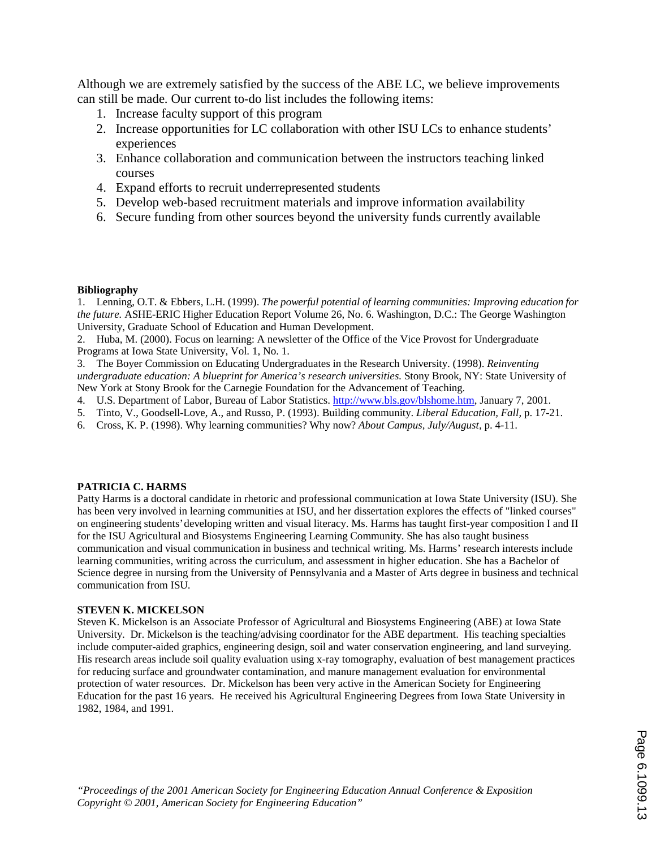Although we are extremely satisfied by the success of the ABE LC, we believe improvements can still be made. Our current to-do list includes the following items:

- 1. Increase faculty support of this program
- 2. Increase opportunities for LC collaboration with other ISU LCs to enhance students' experiences
- 3. Enhance collaboration and communication between the instructors teaching linked courses
- 4. Expand efforts to recruit underrepresented students
- 5. Develop web-based recruitment materials and improve information availability
- 6. Secure funding from other sources beyond the university funds currently available

### **Bibliography**

1. Lenning, O.T. & Ebbers, L.H. (1999). *The powerful potential of learning communities: Improving education for the future.* ASHE-ERIC Higher Education Report Volume 26, No. 6. Washington, D.C.: The George Washington University, Graduate School of Education and Human Development.

2. Huba, M. (2000). Focus on learning: A newsletter of the Office of the Vice Provost for Undergraduate Programs at Iowa State University, Vol. 1, No. 1.

3. The Boyer Commission on Educating Undergraduates in the Research University. (1998). *Reinventing undergraduate education: A blueprint for America's research universities.* Stony Brook, NY: State University of New York at Stony Brook for the Carnegie Foundation for the Advancement of Teaching.

- 4. U.S. Department of Labor, Bureau of Labor Statistics. http://www.bls.gov/blshome.htm, January 7, 2001.
- 5. Tinto, V., Goodsell-Love, A., and Russo, P. (1993). Building community. *Liberal Education, Fall,* p. 17-21.
- 6. Cross, K. P. (1998). Why learning communities? Why now? *About Campus, July/August,* p. 4-11.

### **PATRICIA C. HARMS**

Patty Harms is a doctoral candidate in rhetoric and professional communication at Iowa State University (ISU). She has been very involved in learning communities at ISU, and her dissertation explores the effects of "linked courses" on engineering students' developing written and visual literacy. Ms. Harms has taught first-year composition I and II for the ISU Agricultural and Biosystems Engineering Learning Community. She has also taught business communication and visual communication in business and technical writing. Ms. Harms' research interests include learning communities, writing across the curriculum, and assessment in higher education. She has a Bachelor of Science degree in nursing from the University of Pennsylvania and a Master of Arts degree in business and technical communication from ISU.

### **STEVEN K. MICKELSON**

Steven K. Mickelson is an Associate Professor of Agricultural and Biosystems Engineering (ABE) at Iowa State University. Dr. Mickelson is the teaching/advising coordinator for the ABE department. His teaching specialties include computer-aided graphics, engineering design, soil and water conservation engineering, and land surveying. His research areas include soil quality evaluation using x-ray tomography, evaluation of best management practices for reducing surface and groundwater contamination, and manure management evaluation for environmental protection of water resources. Dr. Mickelson has been very active in the American Society for Engineering Education for the past 16 years. He received his Agricultural Engineering Degrees from Iowa State University in 1982, 1984, and 1991.